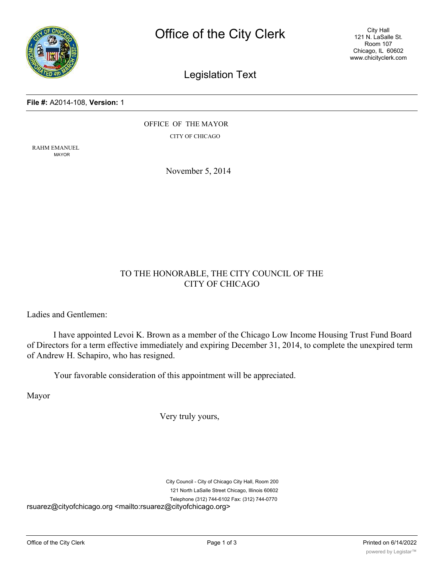

City Hall 121 N. LaSalle St. Room 107 Chicago, IL 60602 www.chicityclerk.com

## Legislation Text

#### **File #:** A2014-108, **Version:** 1

OFFICE OF THE MAYOR CITY OF CHICAGO

RAHM EMANUEL MAYOR

November 5, 2014

### TO THE HONORABLE, THE CITY COUNCIL OF THE CITY OF CHICAGO

Ladies and Gentlemen:

I have appointed Levoi K. Brown as a member of the Chicago Low Income Housing Trust Fund Board of Directors for a term effective immediately and expiring December 31, 2014, to complete the unexpired term of Andrew H. Schapiro, who has resigned.

Your favorable consideration of this appointment will be appreciated.

Mayor

Very truly yours,

City Council - City of Chicago City Hall, Room 200 121 North LaSalle Street Chicago, Illinois 60602 Telephone (312) 744-6102 Fax: (312) 744-0770 rsuarez@cityofchicago.org <mailto:rsuarez@cityofchicago.org>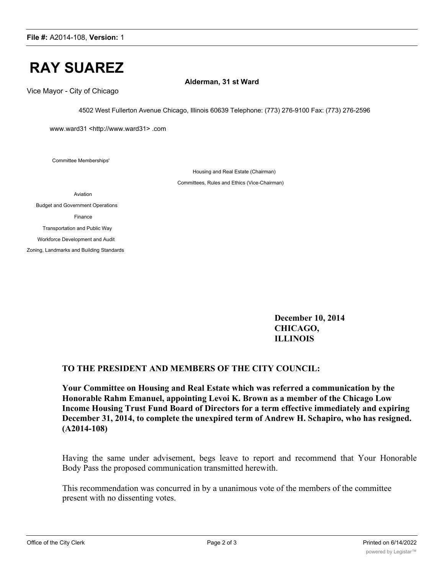# **RAY SUAREZ**

**Alderman, 31 st Ward**

Vice Mayor - City of Chicago

4502 West Fullerton Avenue Chicago, Illinois 60639 Telephone: (773) 276-9100 Fax: (773) 276-2596

www.ward31 <http://www.ward31> .com

Committee Memberships'

Housing and Real Estate (Chairman) Committees, Rules and Ethics (Vice-Chairman)

Aviation

Budget and Government Operations Finance Transportation and Public Way Workforce Development and Audit

Zoning, Landmarks and Building Standards

**December 10, 2014 CHICAGO, ILLINOIS**

### **TO THE PRESIDENT AND MEMBERS OF THE CITY COUNCIL:**

**Your Committee on Housing and Real Estate which was referred a communication by the Honorable Rahm Emanuel, appointing Levoi K. Brown as a member of the Chicago Low Income Housing Trust Fund Board of Directors for a term effective immediately and expiring December 31, 2014, to complete the unexpired term of Andrew H. Schapiro, who has resigned. (A2014-108)**

Having the same under advisement, begs leave to report and recommend that Your Honorable Body Pass the proposed communication transmitted herewith.

This recommendation was concurred in by a unanimous vote of the members of the committee present with no dissenting votes.